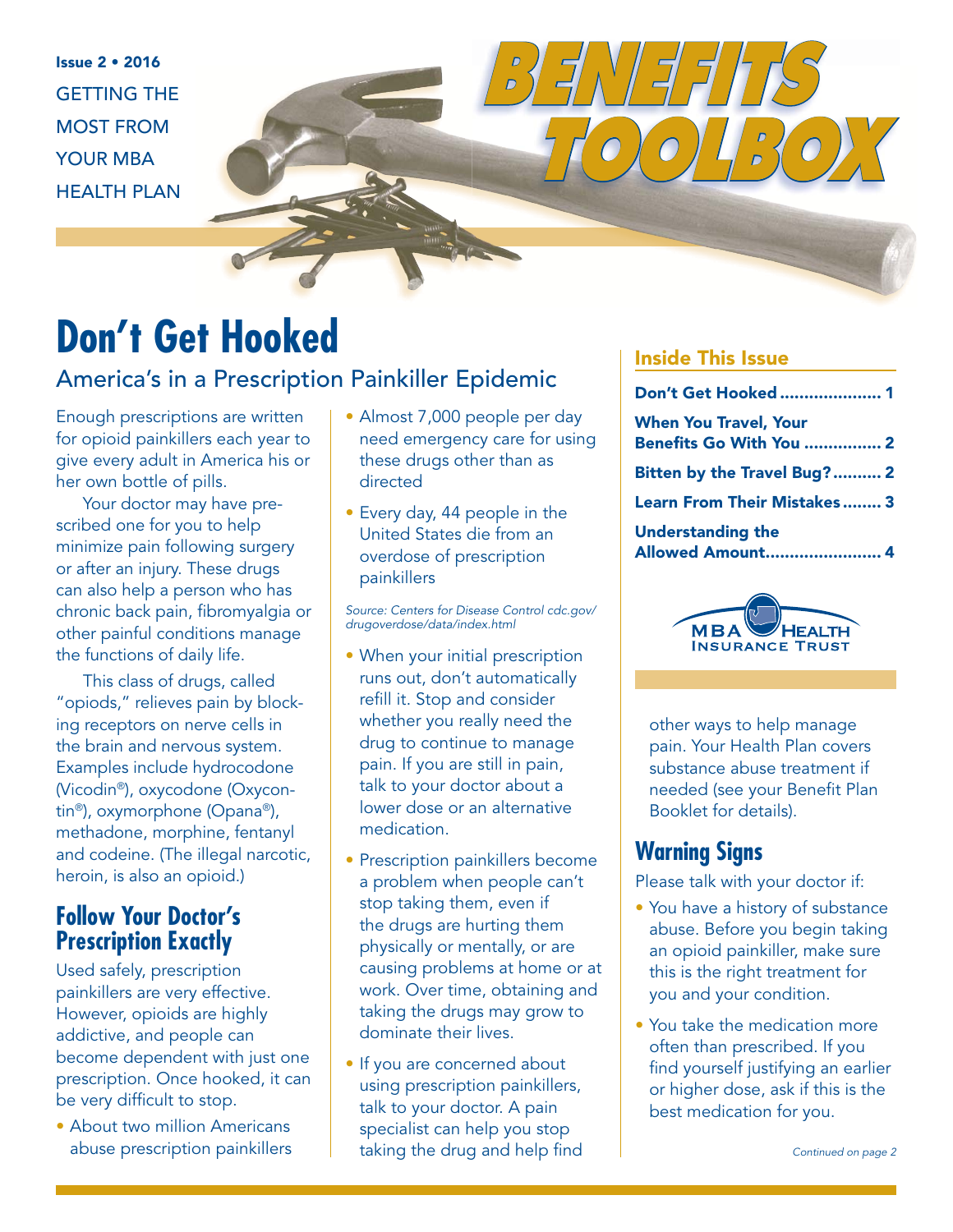Issue 2 • 2016 GETTING THE MOST FROM YOUR MBA HEALTH PLAN

# **Don't Get Hooked**

### America's in a Prescription Painkiller Epidemic

Enough prescriptions are written for opioid painkillers each year to give every adult in America his or her own bottle of pills.

Your doctor may have prescribed one for you to help minimize pain following surgery or after an injury. These drugs can also help a person who has chronic back pain, fibromyalgia or other painful conditions manage the functions of daily life.

This class of drugs, called "opiods," relieves pain by blocking receptors on nerve cells in the brain and nervous system. Examples include hydrocodone (Vicodin®), oxycodone (Oxycontin®), oxymorphone (Opana®), methadone, morphine, fentanyl and codeine. (The illegal narcotic, heroin, is also an opioid.)

## **Follow Your Doctor's Prescription Exactly**

Used safely, prescription painkillers are very effective. However, opioids are highly addictive, and people can become dependent with just one prescription. Once hooked, it can be very difficult to stop.

• About two million Americans abuse prescription painkillers

- Almost 7,000 people per day need emergency care for using these drugs other than as directed
- Every day, 44 people in the United States die from an overdose of prescription painkillers

Source: Centers for Disease Control cdc.gov/ drugoverdose/data/index.html

- When your initial prescription runs out, don't automatically refill it. Stop and consider whether you really need the drug to continue to manage pain. If you are still in pain, talk to your doctor about a lower dose or an alternative medication.
- Prescription painkillers become a problem when people can't stop taking them, even if the drugs are hurting them physically or mentally, or are causing problems at home or at work. Over time, obtaining and taking the drugs may grow to dominate their lives.
- If you are concerned about using prescription painkillers, talk to your doctor. A pain specialist can help you stop taking the drug and help find

### Inside This Issue

*BENEFITS* 

| Don't Get Hooked  1                                            |  |
|----------------------------------------------------------------|--|
| <b>When You Travel, Your</b><br><b>Benefits Go With You  2</b> |  |
| Bitten by the Travel Bug? 2                                    |  |
| <b>Learn From Their Mistakes 3</b>                             |  |
| <b>Understanding the</b><br>Allowed Amount 4                   |  |

 *TOOLBOX*



other ways to help manage pain. Your Health Plan covers substance abuse treatment if needed (see your Benefit Plan Booklet for details).

## **Warning Signs**

Please talk with your doctor if:

- You have a history of substance abuse. Before you begin taking an opioid painkiller, make sure this is the right treatment for you and your condition.
- You take the medication more often than prescribed. If you find yourself justifying an earlier or higher dose, ask if this is the best medication for you.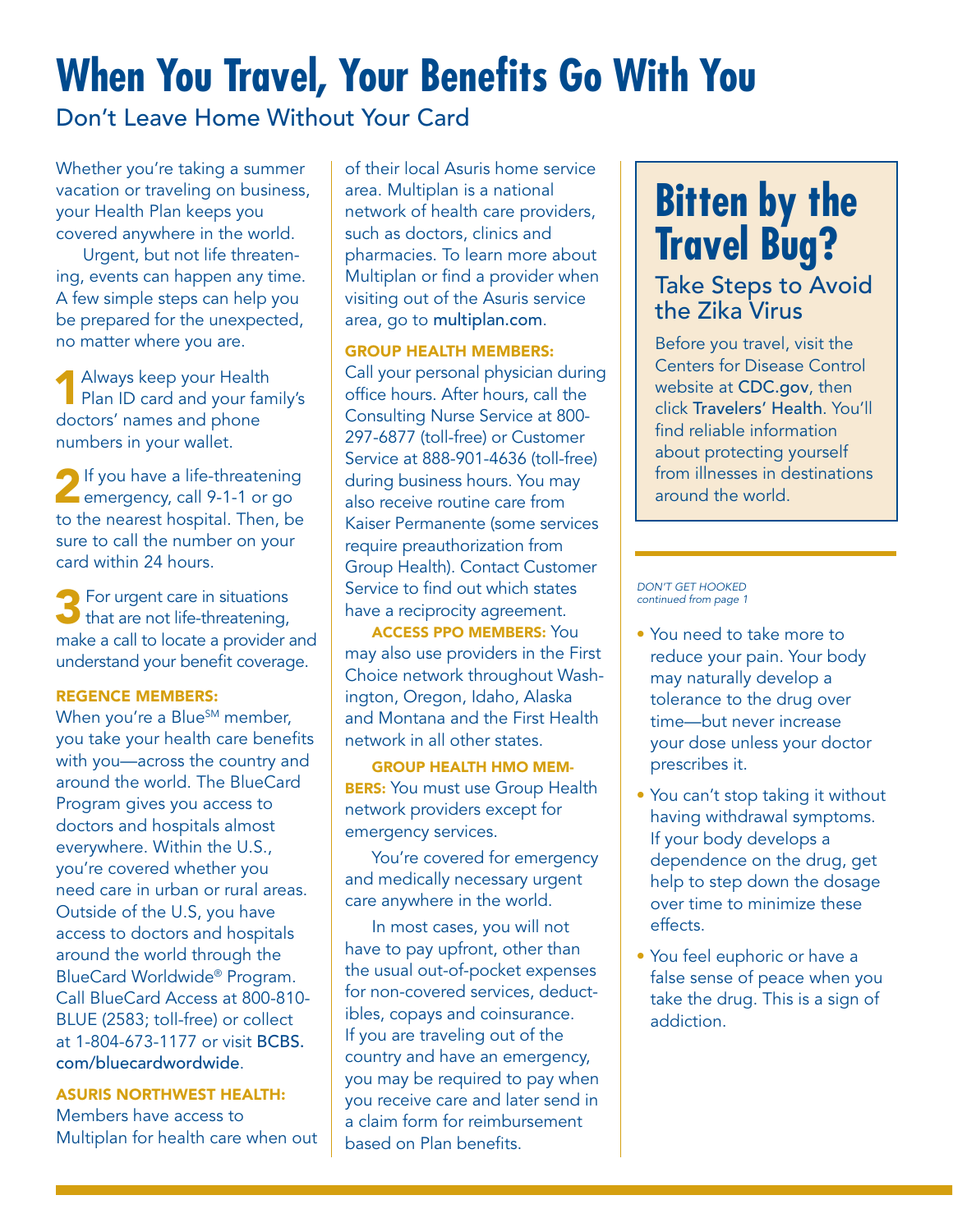# **When You Travel, Your Benefits Go With You**

Don't Leave Home Without Your Card

Whether you're taking a summer vacation or traveling on business, your Health Plan keeps you covered anywhere in the world.

Urgent, but not life threatening, events can happen any time. A few simple steps can help you be prepared for the unexpected, no matter where you are.

Always keep your Health Plan ID card and your family's doctors' names and phone numbers in your wallet.

**2** If you have a life-threatening **Example 12** emergency, call 9-1-1 or go to the nearest hospital. Then, be sure to call the number on your card within 24 hours.

3For urgent care in situations that are not life-threatening, make a call to locate a provider and understand your benefit coverage.

#### REGENCE MEMBERS:

When you're a Blue<sup>SM</sup> member, you take your health care benefits with you—across the country and around the world. The BlueCard Program gives you access to doctors and hospitals almost everywhere. Within the U.S., you're covered whether you need care in urban or rural areas. Outside of the U.S, you have access to doctors and hospitals around the world through the BlueCard Worldwide® Program. Call BlueCard Access at 800-810- BLUE (2583; toll-free) or collect at 1-804-673-1177 or visit BCBS. com/bluecardwordwide.

ASURIS NORTHWEST HEALTH:

Members have access to Multiplan for health care when out

of their local Asuris home service area. Multiplan is a national network of health care providers, such as doctors, clinics and pharmacies. To learn more about Multiplan or find a provider when visiting out of the Asuris service area, go to multiplan.com.

#### GROUP HEALTH MEMBERS:

Call your personal physician during office hours. After hours, call the Consulting Nurse Service at 800- 297-6877 (toll-free) or Customer Service at 888-901-4636 (toll-free) during business hours. You may also receive routine care from Kaiser Permanente (some services require preauthorization from Group Health). Contact Customer Service to find out which states have a reciprocity agreement.

ACCESS PPO MEMBERS: You may also use providers in the First Choice network throughout Washington, Oregon, Idaho, Alaska and Montana and the First Health network in all other states.

GROUP HEALTH HMO MEM-**BERS:** You must use Group Health network providers except for emergency services.

You're covered for emergency and medically necessary urgent care anywhere in the world.

In most cases, you will not have to pay upfront, other than the usual out-of-pocket expenses for non-covered services, deductibles, copays and coinsurance. If you are traveling out of the country and have an emergency, you may be required to pay when you receive care and later send in a claim form for reimbursement based on Plan benefits.

# **Bitten by the Travel Bug?**

### Take Steps to Avoid the Zika Virus

Before you travel, visit the Centers for Disease Control website at CDC.gov, then click Travelers' Health. You'll find reliable information about protecting yourself from illnesses in destinations around the world.

#### DON'T GET HOOKED continued from page 1

- You need to take more to reduce your pain. Your body may naturally develop a tolerance to the drug over time—but never increase your dose unless your doctor prescribes it.
- You can't stop taking it without having withdrawal symptoms. If your body develops a dependence on the drug, get help to step down the dosage over time to minimize these effects.
- You feel euphoric or have a false sense of peace when you take the drug. This is a sign of addiction.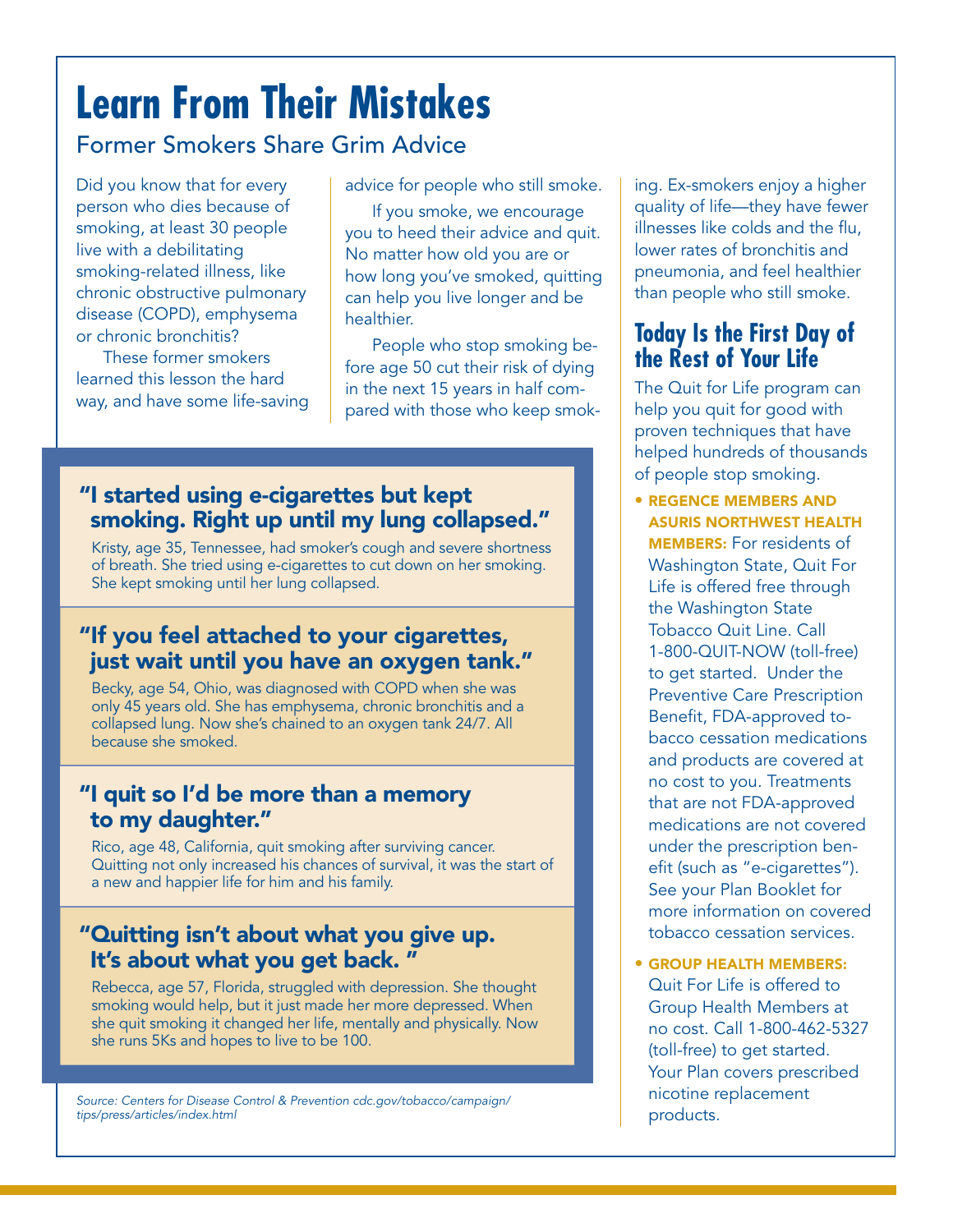# **Learn From Their Mistakes**

## Former Smokers Share Grim Advice

Did you know that for every person who dies because of smoking, at least 30 people live with a debilitating smoking-related illness, like chronic obstructive pulmonary disease (COPD), emphysema or chronic bronchitis?

These former smokers learned this lesson the hard way, and have some life-saving advice for people who still smoke.

If you smoke, we encourage you to heed their advice and quit. No matter how old you are or how long you've smoked, quitting can help you live longer and be healthier.

People who stop smoking before age 50 cut their risk of dying in the next 15 years in half compared with those who keep smok-

## "I started using e-cigarettes but kept smoking. Right up until my lung collapsed."

Kristy, age 35, Tennessee, had smoker's cough and severe shortness of breath. She tried using e-cigarettes to cut down on her smoking. She kept smoking until her lung collapsed.

### "If you feel attached to your cigarettes, just wait until you have an oxygen tank."

Becky, age 54, Ohio, was diagnosed with COPD when she was only 45 years old. She has emphysema, chronic bronchitis and a collapsed lung. Now she's chained to an oxygen tank 24/7. All because she smoked.

## "I quit so I'd be more than a memory to my daughter."

Rico, age 48, California, quit smoking after surviving cancer. Quitting not only increased his chances of survival, it was the start of a new and happier life for him and his family.

### "Quitting isn't about what you give up. It's about what you get back.

Rebecca, age 57, Florida, struggled with depression. She thought smoking would help, but it just made her more depressed. When she quit smoking it changed her life, mentally and physically. Now she runs 5Ks and hopes to live to be 100.

products. Source: Centers for Disease Control & Prevention cdc.gov/tobacco/campaign/ tips/press/articles/index.html

ing. Ex-smokers enjoy a higher quality of life—they have fewer illnesses like colds and the flu, lower rates of bronchitis and pneumonia, and feel healthier than people who still smoke.

## **Today Is the First Day of the Rest of Your Life**

The Quit for Life program can help you quit for good with proven techniques that have helped hundreds of thousands of people stop smoking.

- REGENCE MEMBERS AND ASURIS NORTHWEST HEALTH MEMBERS: For residents of Washington State, Quit For Life is offered free through the Washington State Tobacco Quit Line. Call 1-800-QUIT-NOW (toll-free) to get started. Under the Preventive Care Prescription Benefit, FDA-approved tobacco cessation medications and products are covered at no cost to you. Treatments that are not FDA-approved medications are not covered under the prescription benefit (such as "e-cigarettes"). See your Plan Booklet for more information on covered tobacco cessation services.
- GROUP HEALTH MEMBERS: Quit For Life is offered to Group Health Members at no cost. Call 1-800-462-5327 (toll-free) to get started. Your Plan covers prescribed nicotine replacement